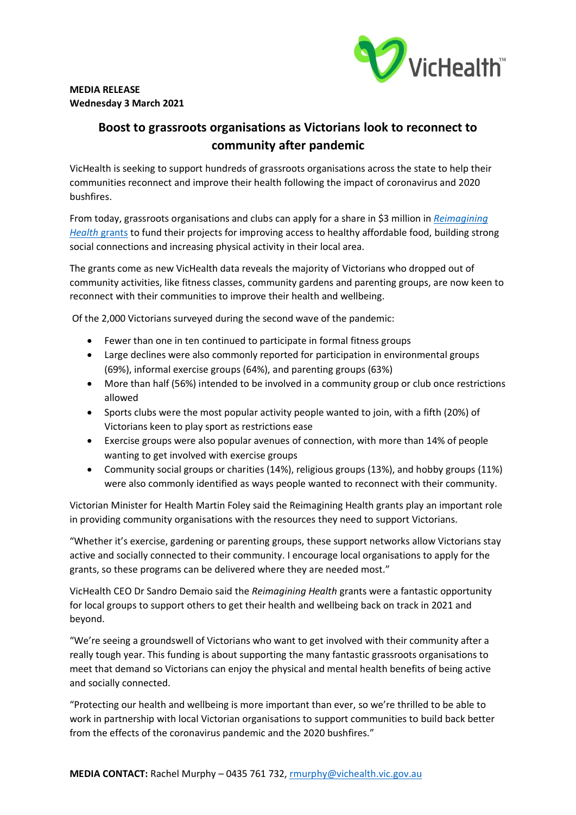

## **MEDIA RELEASE Wednesday 3 March 2021**

## **Boost to grassroots organisations as Victorians look to reconnect to community after pandemic**

VicHealth is seeking to support hundreds of grassroots organisations across the state to help their communities reconnect and improve their health following the impact of coronavirus and 2020 bushfires.

From today, grassroots organisations and clubs can apply for a share in \$3 million in *Reimagining Health* grants to fund their projects for improving access to healthy affordable food, building strong social connections and increasing physical activity in their local area.

The grants come as new VicHealth data reveals the majority of Victorians who dropped out of community activities, like fitness classes, community gardens and parenting groups, are now keen to reconnect with their communities to improve their health and wellbeing.

Of the 2,000 Victorians surveyed during the second wave of the pandemic:

- Fewer than one in ten continued to participate in formal fitness groups
- Large declines were also commonly reported for participation in environmental groups (69%), informal exercise groups (64%), and parenting groups (63%)
- More than half (56%) intended to be involved in a community group or club once restrictions allowed
- Sports clubs were the most popular activity people wanted to join, with a fifth (20%) of Victorians keen to play sport as restrictions ease
- Exercise groups were also popular avenues of connection, with more than 14% of people wanting to get involved with exercise groups
- Community social groups or charities (14%), religious groups (13%), and hobby groups (11%) were also commonly identified as ways people wanted to reconnect with their community.

Victorian Minister for Health Martin Foley said the Reimagining Health grants play an important role in providing community organisations with the resources they need to support Victorians.

"Whether it's exercise, gardening or parenting groups, these support networks allow Victorians stay active and socially connected to their community. I encourage local organisations to apply for the grants, so these programs can be delivered where they are needed most."

VicHealth CEO Dr Sandro Demaio said the *Reimagining Health* grants were a fantastic opportunity for local groups to support others to get their health and wellbeing back on track in 2021 and beyond.

"We're seeing a groundswell of Victorians who want to get involved with their community after a really tough year. This funding is about supporting the many fantastic grassroots organisations to meet that demand so Victorians can enjoy the physical and mental health benefits of being active and socially connected.

"Protecting our health and wellbeing is more important than ever, so we're thrilled to be able to work in partnership with local Victorian organisations to support communities to build back better from the effects of the coronavirus pandemic and the 2020 bushfires."